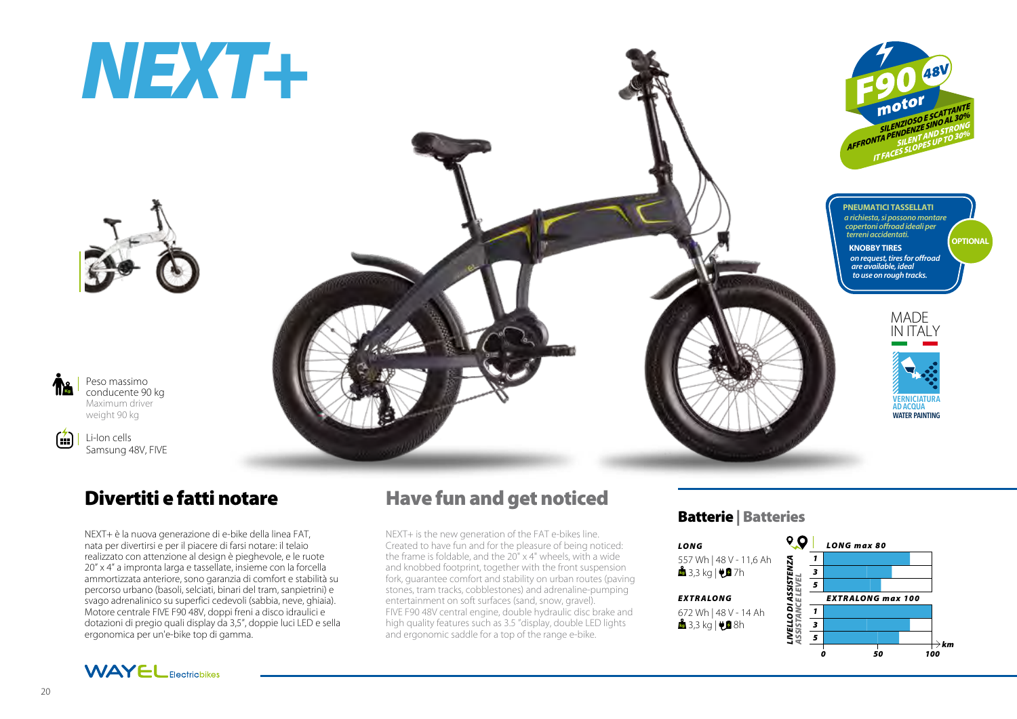# *NEXT+*



Peso massimo conducente 90 kg Maximum driver weight 90 kg Kg

 $(7)$ 

Li-Ion cells Samsung 48V, FIVE

## Divertiti e fatti notare

NEXT+ è la nuova generazione di e-bike della linea FAT, nata per divertirsi e per il piacere di farsi notare: il telaio realizzato con attenzione al design è pieghevole, e le ruote 20" x 4" a impronta larga e tassellate, insieme con la forcella ammortizzata anteriore, sono garanzia di comfort e stabilità su percorso urbano (basoli, selciati, binari del tram, sanpietrini) e svago adrenalinico su superfici cedevoli (sabbia, neve, ghiaia). Motore centrale FIVE F90 48V, doppi freni a disco idraulici e dotazioni di pregio quali display da 3,5", doppie luci LED e sella ergonomica per un'e-bike top di gamma.





## Have fun and get noticed

NEXT+ is the new generation of the FAT e-bikes line. Created to have fun and for the pleasure of being noticed: the frame is foldable, and the 20" x 4" wheels, with a wide and knobbed footprint, together with the front suspension fork, guarantee comfort and stability on urban routes (paving stones, tram tracks, cobblestones) and adrenaline-pumping entertainment on soft surfaces (sand, snow, gravel). FIVE F90 48V central engine, double hydraulic disc brake and high quality features such as 3.5 "display, double LED lights and ergonomic saddle for a top of the range e-bike.

### Batterie | Batteries